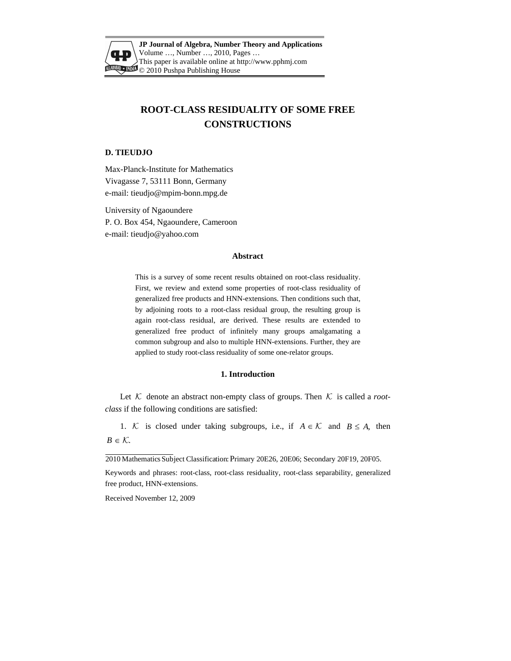

**JP Journal of Algebra, Number Theory and Applications** Volume …, Number …, 2010, Pages … This paper is available online at http://www.pphmj.com  $\mathbb{Z}$  © 2010 Pushpa Publishing House

# **ROOT-CLASS RESIDUALITY OF SOME FREE CONSTRUCTIONS**

# **D. TIEUDJO**

Max-Planck-Institute for Mathematics Vivagasse 7, 53111 Bonn, Germany e-mail: tieudjo@mpim-bonn.mpg.de

University of Ngaoundere P. O. Box 454, Ngaoundere, Cameroon e-mail: tieudjo@yahoo.com

## **Abstract**

This is a survey of some recent results obtained on root-class residuality. First, we review and extend some properties of root-class residuality of generalized free products and HNN-extensions. Then conditions such that, by adjoining roots to a root-class residual group, the resulting group is again root-class residual, are derived. These results are extended to generalized free product of infinitely many groups amalgamating a common subgroup and also to multiple HNN-extensions. Further, they are applied to study root-class residuality of some one-relator groups.

#### **1. Introduction**

Let  $K$  denote an abstract non-empty class of groups. Then  $K$  is called a *rootclass* if the following conditions are satisfied:

1. K is closed under taking subgroups, i.e., if  $A \in \mathcal{K}$  and  $B \leq A$ , then  $B \in \mathcal{K}$ .

2010 Mathematics Subject Classification:Primary 20E26, 20E06; Secondary 20F19, 20F05.

Keywords and phrases: root-class, root-class residuality, root-class separability, generalized free product, HNN-extensions.

Received November 12, 2009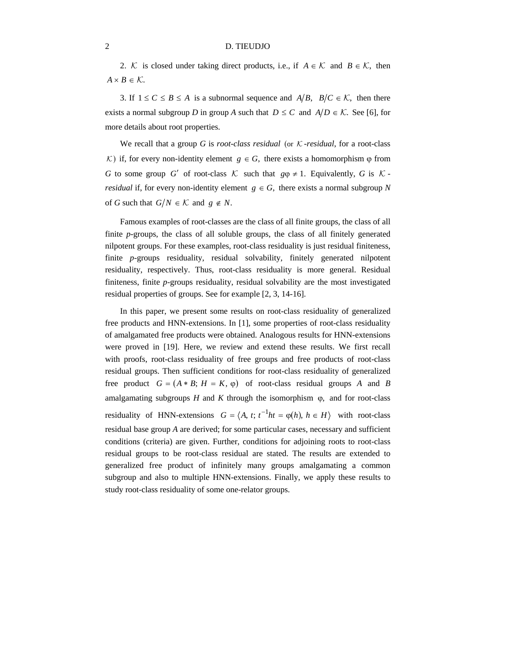2. K is closed under taking direct products, i.e., if  $A \in \mathcal{K}$  and  $B \in \mathcal{K}$ , then  $A \times B \in \mathcal{K}$ .

3. If  $1 \le C \le B \le A$  is a subnormal sequence and  $A/B$ ,  $B/C \in K$ , then there exists a normal subgroup *D* in group *A* such that  $D \leq C$  and  $A/D \in \mathcal{K}$ . See [6], for more details about root properties.

We recall that a group *G* is *root-class residual* (or  $K$ -*residual*, for a root-class K) if, for every non-identity element  $g \in G$ , there exists a homomorphism  $\varphi$  from *G* to some group *G'* of root-class  $K$  such that  $g\phi \neq 1$ . Equivalently, *G* is K *residual* if, for every non-identity element  $g \in G$ , there exists a normal subgroup N of *G* such that  $G/N \in \mathcal{K}$  and  $g \notin N$ .

Famous examples of root-classes are the class of all finite groups, the class of all finite *p*-groups, the class of all soluble groups, the class of all finitely generated nilpotent groups. For these examples, root-class residuality is just residual finiteness, finite *p*-groups residuality, residual solvability, finitely generated nilpotent residuality, respectively. Thus, root-class residuality is more general. Residual finiteness, finite *p*-groups residuality, residual solvability are the most investigated residual properties of groups. See for example [2, 3, 14-16].

In this paper, we present some results on root-class residuality of generalized free products and HNN-extensions. In [1], some properties of root-class residuality of amalgamated free products were obtained. Analogous results for HNN-extensions were proved in [19]. Here, we review and extend these results. We first recall with proofs, root-class residuality of free groups and free products of root-class residual groups. Then sufficient conditions for root-class residuality of generalized free product  $G = (A * B; H = K, \varphi)$  of root-class residual groups *A* and *B* amalgamating subgroups  $H$  and  $K$  through the isomorphism  $\varphi$ , and for root-class residuality of HNN-extensions  $G = \langle A, t; t^{-1}h t = \varphi(h), h \in H \rangle$  with root-class residual base group *A* are derived; for some particular cases, necessary and sufficient conditions (criteria) are given. Further, conditions for adjoining roots to root-class residual groups to be root-class residual are stated. The results are extended to generalized free product of infinitely many groups amalgamating a common subgroup and also to multiple HNN-extensions. Finally, we apply these results to study root-class residuality of some one-relator groups.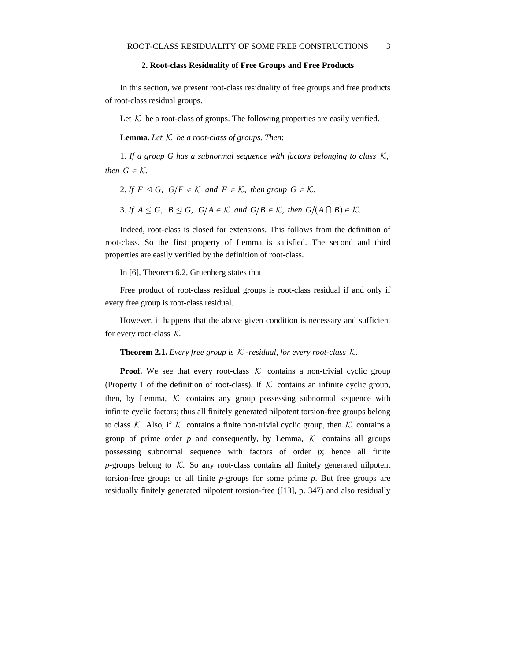# **2. Root**-**class Residuality of Free Groups and Free Products**

In this section, we present root-class residuality of free groups and free products of root-class residual groups.

Let  $K$  be a root-class of groups. The following properties are easily verified.

**Lemma.** Let  $K$  be a root-class of groups. Then:

1. *If a group G has a subnormal sequence with factors belonging to class* K, *then*  $G \in \mathcal{K}$ .

2. If  $F \trianglelefteq G$ ,  $G/F \in \mathcal{K}$  and  $F \in \mathcal{K}$ , then group  $G \in \mathcal{K}$ .

3. If  $A \leq G$ ,  $B \leq G$ ,  $G/A \in \mathcal{K}$  and  $G/B \in \mathcal{K}$ , then  $G/(A \cap B) \in \mathcal{K}$ .

Indeed, root-class is closed for extensions. This follows from the definition of root-class. So the first property of Lemma is satisfied. The second and third properties are easily verified by the definition of root-class.

In [6], Theorem 6.2, Gruenberg states that

Free product of root-class residual groups is root-class residual if and only if every free group is root-class residual.

However, it happens that the above given condition is necessary and sufficient for every root-class  $K$ .

**Theorem 2.1.** *Every free group is* K -*residual*, *for every root*-*class* K.

**Proof.** We see that every root-class  $K$  contains a non-trivial cyclic group (Property 1 of the definition of root-class). If  $K$  contains an infinite cyclic group, then, by Lemma,  $K$  contains any group possessing subnormal sequence with infinite cyclic factors; thus all finitely generated nilpotent torsion-free groups belong to class K. Also, if K contains a finite non-trivial cyclic group, then K contains a group of prime order  $p$  and consequently, by Lemma,  $K$  contains all groups possessing subnormal sequence with factors of order *p*; hence all finite  $p$ -groups belong to  $K$ . So any root-class contains all finitely generated nilpotent torsion-free groups or all finite *p*-groups for some prime *p*. But free groups are residually finitely generated nilpotent torsion-free ([13], p. 347) and also residually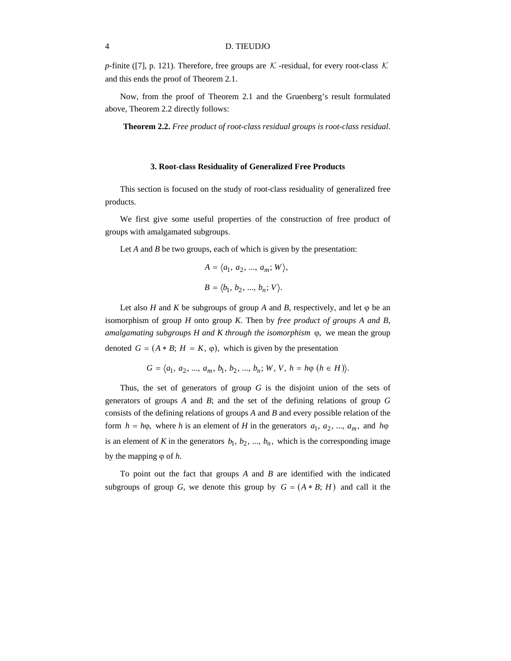*p*-finite ([7], p. 121). Therefore, free groups are  $K$ -residual, for every root-class K and this ends the proof of Theorem 2.1.

Now, from the proof of Theorem 2.1 and the Gruenberg's result formulated above, Theorem 2.2 directly follows:

 **Theorem 2.2.** *Free product of root*-*class residual groups is root*-*class residual*.

#### **3. Root**-**class Residuality of Generalized Free Products**

This section is focused on the study of root-class residuality of generalized free products.

We first give some useful properties of the construction of free product of groups with amalgamated subgroups.

Let *A* and *B* be two groups, each of which is given by the presentation:

$$
A = \langle a_1, a_2, ..., a_m; W \rangle,
$$
  

$$
B = \langle b_1, b_2, ..., b_n; V \rangle.
$$

Let also *H* and *K* be subgroups of group *A* and *B*, respectively, and let  $\varphi$  be an isomorphism of group *H* onto group *K*. Then by *free product of groups A and B*, *amalgamating subgroups H and K through the isomorphism* ϕ, we mean the group denoted  $G = (A * B; H = K, \varphi)$ , which is given by the presentation

$$
G = \langle a_1, a_2, ..., a_m, b_1, b_2, ..., b_n; W, V, h = h\varphi \ (h \in H) \rangle.
$$

Thus, the set of generators of group *G* is the disjoint union of the sets of generators of groups *A* and *B*; and the set of the defining relations of group *G* consists of the defining relations of groups *A* and *B* and every possible relation of the form  $h = h\varphi$ , where *h* is an element of *H* in the generators  $a_1, a_2, ..., a_m$ , and  $h\varphi$ is an element of *K* in the generators  $b_1$ ,  $b_2$ , ...,  $b_n$ , which is the corresponding image by the mapping ϕ of *h*.

To point out the fact that groups *A* and *B* are identified with the indicated subgroups of group *G*, we denote this group by  $G = (A * B; H)$  and call it the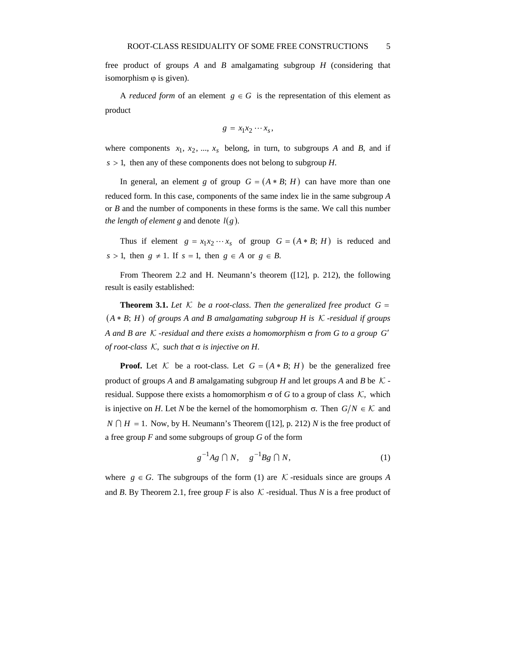free product of groups *A* and *B* amalgamating subgroup *H* (considering that isomorphism  $\varphi$  is given).

A *reduced form* of an element  $g \in G$  is the representation of this element as product

$$
g = x_1 x_2 \cdots x_s,
$$

where components  $x_1, x_2, ..., x_s$  belong, in turn, to subgroups *A* and *B*, and if  $s > 1$ , then any of these components does not belong to subgroup *H*.

In general, an element *g* of group  $G = (A * B; H)$  can have more than one reduced form. In this case, components of the same index lie in the same subgroup *A* or *B* and the number of components in these forms is the same. We call this number *the length of element g* and denote *l*(*g*).

Thus if element  $g = x_1 x_2 \cdots x_s$  of group  $G = (A * B; H)$  is reduced and  $s > 1$ , then  $g \neq 1$ . If  $s = 1$ , then  $g \in A$  or  $g \in B$ .

From Theorem 2.2 and H. Neumann's theorem ([12], p. 212), the following result is easily established:

**Theorem 3.1.** Let K be a root-class. Then the generalized free product  $G =$ ( ) *A* ∗ *B*; *H of groups A and B amalgamating subgroup H is* K -*residual if groups A and B are* K -*residual and there exists a homomorphism* σ *from G to a group G*′ *of root*-*class* K, *such that* σ *is injective on H*.

**Proof.** Let  $K$  be a root-class. Let  $G = (A * B; H)$  be the generalized free product of groups *A* and *B* amalgamating subgroup *H* and let groups *A* and *B* be  $K$ residual. Suppose there exists a homomorphism  $\sigma$  of *G* to a group of class  $K$ , which is injective on *H*. Let *N* be the kernel of the homomorphism  $\sigma$ . Then  $G/N \in \mathcal{K}$  and  $N \cap H = 1$ . Now, by H. Neumann's Theorem ([12], p. 212) *N* is the free product of a free group *F* and some subgroups of group *G* of the form

$$
g^{-1}Ag \cap N, \quad g^{-1}Bg \cap N,\tag{1}
$$

where  $g \in G$ . The subgroups of the form (1) are K -residuals since are groups A and *B*. By Theorem 2.1, free group *F* is also  $K$ -residual. Thus *N* is a free product of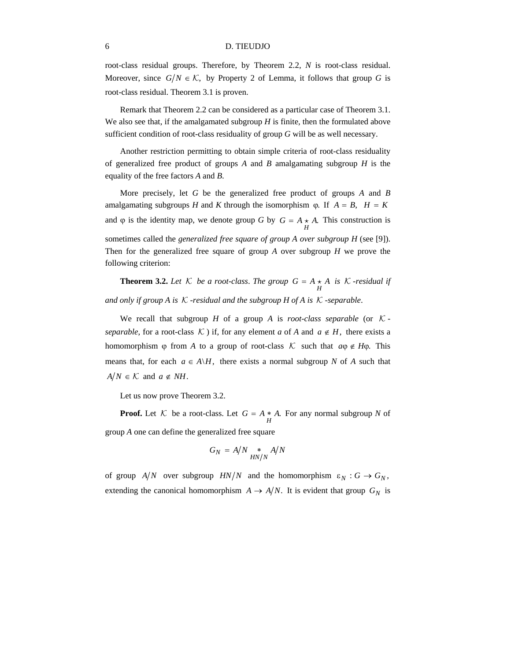root-class residual groups. Therefore, by Theorem 2.2, *N* is root-class residual. Moreover, since  $G/N \in \mathcal{K}$ , by Property 2 of Lemma, it follows that group G is root-class residual. Theorem 3.1 is proven.

Remark that Theorem 2.2 can be considered as a particular case of Theorem 3.1. We also see that, if the amalgamated subgroup *H* is finite, then the formulated above sufficient condition of root-class residuality of group *G* will be as well necessary.

Another restriction permitting to obtain simple criteria of root-class residuality of generalized free product of groups *A* and *B* amalgamating subgroup *H* is the equality of the free factors *A* and *B*.

More precisely, let *G* be the generalized free product of groups *A* and *B* amalgamating subgroups *H* and *K* through the isomorphism  $\omega$ . If  $A = B$ ,  $H = K$ and  $\varphi$  is the identity map, we denote group *G* by *G* =  $A \underset{U}{\star} A$ . This construction is sometimes called the *generalized free square of group A over subgroup H* (see [9]). Then for the generalized free square of group *A* over subgroup *H* we prove the following criterion:

**Theorem 3.2.** Let  $K$  be a root-class. The group  $G = A \star A$  is  $K$ -residual if  $H$ and only if group A is  $K$ -residual and the subgroup  $H$  of A is  $K$ -separable.

We recall that subgroup *H* of a group *A* is *root-class separable* (or  $K$ *separable*, for a root-class K ) if, for any element *a* of *A* and  $a \notin H$ , there exists a homomorphism  $\varphi$  from *A* to a group of root-class K such that  $a\varphi \notin H\varphi$ . This means that, for each  $a \in A \backslash H$ , there exists a normal subgroup *N* of *A* such that  $A/N \in \mathcal{K}$  and  $a \notin NH$ .

Let us now prove Theorem 3.2.

**Proof.** Let *K* be a root-class. Let  $G = A * A$ . For any normal subgroup *N* of group *A* one can define the generalized free square

$$
G_N = A/N \underset{HN/N}{*} A/N
$$

of group  $A/N$  over subgroup  $HN/N$  and the homomorphism  $\varepsilon_N : G \to G_N$ , extending the canonical homomorphism  $A \rightarrow A/N$ . It is evident that group  $G_N$  is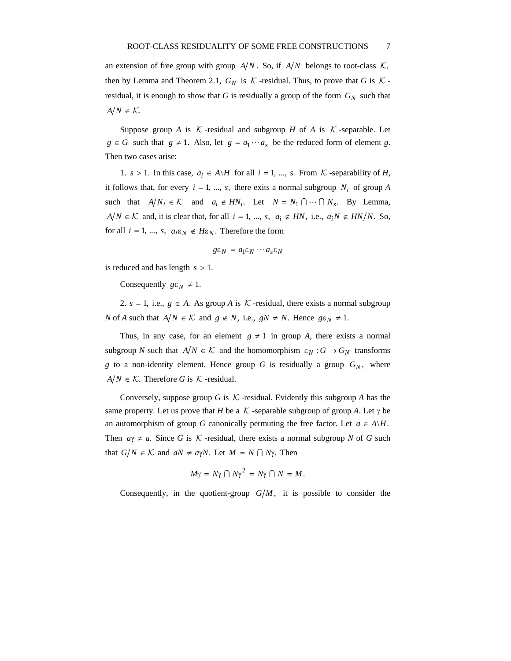an extension of free group with group  $A/N$ . So, if  $A/N$  belongs to root-class  $K$ , then by Lemma and Theorem 2.1,  $G_N$  is  $K$ -residual. Thus, to prove that *G* is  $K$ residual, it is enough to show that *G* is residually a group of the form  $G_N$  such that  $A/N \in \mathcal{K}$ .

Suppose group *A* is K -residual and subgroup *H* of *A* is K -separable. Let *g* ∈ *G* such that *g* ≠ 1. Also, let *g* =  $a_1 \cdots a_s$  be the reduced form of element *g*. Then two cases arise:

1. *s* > 1. In this case,  $a_i \in A \backslash H$  for all  $i = 1, ..., s$ . From  $K$ -separability of *H*, it follows that, for every  $i = 1, ..., s$ , there exits a normal subgroup  $N_i$  of group A such that  $A/N_i \in \mathcal{K}$  and  $a_i \notin HN_i$ . Let  $N = N_1 \cap \cdots \cap N_s$ . By Lemma, *A*  $/N$  ∈  $K$  and, it is clear that, for all  $i = 1, ..., s$ ,  $a_i \notin HN$ , i.e.,  $a_iN \notin HN/N$ . So, for all  $i = 1, ..., s, a_i \varepsilon_N \notin H \varepsilon_N$ . Therefore the form

$$
g\varepsilon_N = a_1\varepsilon_N \cdots a_s\varepsilon_N
$$

is reduced and has length *s* > 1.

Consequently  $g\epsilon_N \neq 1$ .

2.  $s = 1$ , i.e.,  $g \in A$ . As group A is K -residual, there exists a normal subgroup *N* of *A* such that  $A/N \in \mathcal{K}$  and  $g \notin N$ , i.e.,  $gN \neq N$ . Hence  $g\epsilon_N \neq 1$ .

Thus, in any case, for an element  $g \neq 1$  in group *A*, there exists a normal subgroup *N* such that  $A/N \in \mathcal{K}$  and the homomorphism  $\varepsilon_N : G \to G_N$  transforms *g* to a non-identity element. Hence group *G* is residually a group  $G_N$ , where  $A/N \in \mathcal{K}$ . Therefore *G* is  $\mathcal{K}$ -residual.

Conversely, suppose group *G* is  $K$ -residual. Evidently this subgroup *A* has the same property. Let us prove that *H* be a K -separable subgroup of group *A*. Let  $\gamma$  be an automorphism of group *G* canonically permuting the free factor. Let  $a \in A \backslash H$ . Then  $a\gamma \neq a$ . Since *G* is *K* -residual, there exists a normal subgroup *N* of *G* such that  $G/N \in \mathcal{K}$  and  $aN \neq a\gamma N$ . Let  $M = N \cap N\gamma$ . Then

$$
M\gamma = N\gamma \cap N\gamma^2 = N\gamma \cap N = M.
$$

Consequently, in the quotient-group  $G/M$ , it is possible to consider the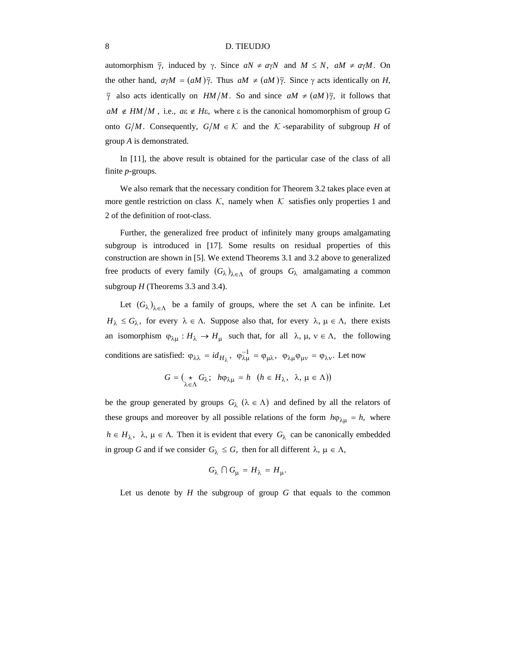automorphism  $\bar{\gamma}$ , induced by  $\gamma$ . Since  $aN \neq a\gamma N$  and  $M \leq N$ ,  $aM \neq a\gamma M$ . On the other hand,  $a\gamma M = (aM)\overline{\gamma}$ . Thus  $aM \neq (aM)\overline{\gamma}$ . Since  $\gamma$  acts identically on *H*,  $\overline{\gamma}$  also acts identically on *HM*/*M*. So and since  $aM \neq (aM)\overline{\gamma}$ , it follows that  $aM \notin HM/M$ , i.e.,  $a\epsilon \notin H\epsilon$ , where  $\epsilon$  is the canonical homomorphism of group *G* onto  $G/M$ . Consequently,  $G/M \in \mathcal{K}$  and the K -separability of subgroup H of group *A* is demonstrated.

In [11], the above result is obtained for the particular case of the class of all finite *p*-groups.

We also remark that the necessary condition for Theorem 3.2 takes place even at more gentle restriction on class  $K$ , namely when K satisfies only properties 1 and 2 of the definition of root-class.

Further, the generalized free product of infinitely many groups amalgamating subgroup is introduced in [17]. Some results on residual properties of this construction are shown in [5]. We extend Theorems 3.1 and 3.2 above to generalized free products of every family  $(G_{\lambda})_{\lambda \in \Lambda}$  of groups  $G_{\lambda}$  amalgamating a common subgroup *H* (Theorems 3.3 and 3.4).

Let  $(G_{\lambda})_{\lambda \in \Lambda}$  be a family of groups, where the set  $\Lambda$  can be infinite. Let  $H_{\lambda} \leq G_{\lambda}$ , for every  $\lambda \in \Lambda$ . Suppose also that, for every  $\lambda$ ,  $\mu \in \Lambda$ , there exists an isomorphism  $\varphi_{\lambda\mu}: H_{\lambda} \to H_{\mu}$  such that, for all  $\lambda, \mu, \nu \in \Lambda$ , the following conditions are satisfied:  $\varphi_{\lambda\lambda} = id_{H_{\lambda}}$ ,  $\varphi_{\lambda\mu}^{-1} = \varphi_{\mu\lambda}$ ,  $\varphi_{\lambda\mu}\varphi_{\mu\nu} = \varphi_{\lambda\nu}$ . Let now

$$
G = \begin{pmatrix} \star & G_{\lambda} \\ \star & h\varphi_{\lambda\mu} \end{pmatrix} = h \quad (h \in H_{\lambda}, \ \lambda, \mu \in \Lambda)
$$

be the group generated by groups  $G_{\lambda}$  ( $\lambda \in \Lambda$ ) and defined by all the relators of these groups and moreover by all possible relations of the form  $h\varphi_{\lambda\mu} = h$ , where  $h \in H_{\lambda}$ ,  $\lambda$ ,  $\mu \in \Lambda$ . Then it is evident that every  $G_{\lambda}$  can be canonically embedded in group *G* and if we consider  $G_\lambda \leq G$ , then for all different  $\lambda, \mu \in \Lambda$ ,

$$
G_{\lambda} \cap G_{\mu} = H_{\lambda} = H_{\mu}.
$$

Let us denote by *H* the subgroup of group *G* that equals to the common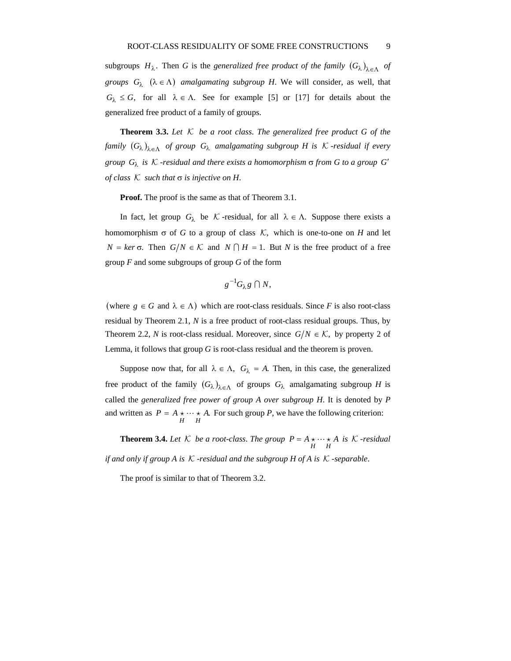subgroups  $H_{\lambda}$ . Then *G* is the *generalized free product of the family*  $(G_{\lambda})_{\lambda \in \Lambda}$  *of groups*  $G_{\lambda}$  ( $\lambda \in \Lambda$ ) *amalgamating subgroup H*. We will consider, as well, that  $G_{\lambda} \leq G$ , for all  $\lambda \in \Lambda$ . See for example [5] or [17] for details about the generalized free product of a family of groups.

**Theorem 3.3.** *Let* K *be a root class*. *The generalized free product G of the family*  $(G_{\lambda})_{\lambda \in \Lambda}$  *of group*  $G_{\lambda}$  *amalgamating subgroup H is*  $K$ -*residual if every group*  $G_{\lambda}$  *is* K -*residual and there exists a homomorphism*  $\sigma$  *from* G to a group G' *of class* K *such that* σ *is injective on H*.

**Proof.** The proof is the same as that of Theorem 3.1.

In fact, let group  $G_{\lambda}$  be K -residual, for all  $\lambda \in \Lambda$ . Suppose there exists a homomorphism  $\sigma$  of *G* to a group of class K, which is one-to-one on *H* and let *N* = *ker* σ. Then *G*/*N* ∈ *K* and *N* ∩ *H* = 1. But *N* is the free product of a free group *F* and some subgroups of group *G* of the form

$$
g^{-1}G_{\lambda}g\cap N,
$$

(where  $g \in G$  and  $\lambda \in \Lambda$ ) which are root-class residuals. Since *F* is also root-class residual by Theorem 2.1, *N* is a free product of root-class residual groups. Thus, by Theorem 2.2, *N* is root-class residual. Moreover, since  $G/N \in \mathcal{K}$ , by property 2 of Lemma, it follows that group *G* is root-class residual and the theorem is proven.

Suppose now that, for all  $\lambda \in \Lambda$ ,  $G_{\lambda} = A$ . Then, in this case, the generalized free product of the family  $(G_{\lambda})_{\lambda \in \Lambda}$  of groups  $G_{\lambda}$  amalgamating subgroup *H* is called the *generalized free power of group A over subgroup H*. It is denoted by *P* and written as  $P = A \star \cdots \star A$ . For such group *P*, we have the following criterion:

**Theorem 3.4.** Let  $K$  be a root-class. The group  $P = A \star \cdots \star A$  is  $K$ -residual  $H$ *if and only if group A is* K -*residual and the subgroup H of A is* K -*separable*.

The proof is similar to that of Theorem 3.2.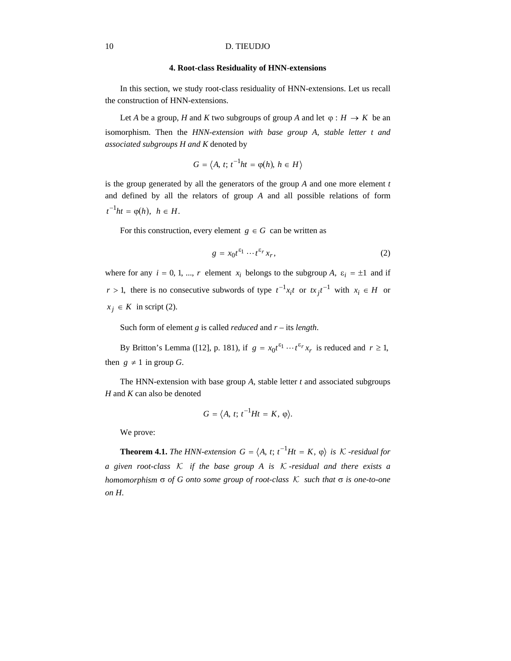#### **4. Root-class Residuality of HNN**-**extensions**

In this section, we study root-class residuality of HNN-extensions. Let us recall the construction of HNN-extensions.

Let *A* be a group, *H* and *K* two subgroups of group *A* and let  $\varphi : H \to K$  be an isomorphism. Then the *HNN*-*extension with base group A*, *stable letter t and associated subgroups H and K* denoted by

$$
G = \langle A, t; t^{-1}ht = \varphi(h), h \in H \rangle
$$

is the group generated by all the generators of the group *A* and one more element *t*  and defined by all the relators of group *A* and all possible relations of form  $t^{-1}ht = \omega(h), \quad h \in H.$ 

For this construction, every element  $g \in G$  can be written as

$$
g = x_0 t^{\varepsilon_1} \cdots t^{\varepsilon_r} x_r,\tag{2}
$$

where for any  $i = 0, 1, ..., r$  element  $x_i$  belongs to the subgroup *A*,  $\varepsilon_i = \pm 1$  and if *r* > 1, there is no consecutive subwords of type  $t^{-1}x_it$  or  $tx_it^{-1}$  with  $x_i \in H$  or  $x_j \in K$  in script (2).

Such form of element *g* is called *reduced* and *r* – its *length*.

By Britton's Lemma ([12], p. 181), if  $g = x_0 t^{\varepsilon_1} \cdots t^{\varepsilon_r} x_r$  is reduced and  $r \ge 1$ , then  $g \neq 1$  in group *G*.

The HNN-extension with base group *A*, stable letter *t* and associated subgroups *H* and *K* can also be denoted

$$
G=\langle A, t; t^{-1}Ht=K, \varphi\rangle.
$$

We prove:

**Theorem 4.1.** *The HNN-extension*  $G = \langle A, t; t^{-1}Ht = K, \varphi \rangle$  *is*  $K$ -*residual for a given root*-*class* K *if the base group A is* K -*residual and there exists a homomorphism* σ *of G onto some group of root*-*class* K *such that* σ *is one*-*to*-*one on H*.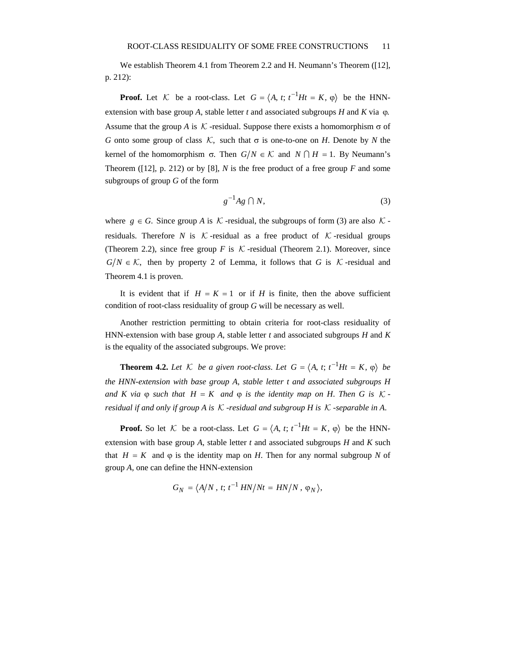We establish Theorem 4.1 from Theorem 2.2 and H. Neumann's Theorem ([12], p. 212):

**Proof.** Let K be a root-class. Let  $G = \langle A, t; t^{-1}Ht = K, \varphi \rangle$  be the HNNextension with base group *A*, stable letter *t* and associated subgroups *H* and *K* via  $\varphi$ . Assume that the group *A* is K -residual. Suppose there exists a homomorphism  $\sigma$  of *G* onto some group of class *K*, such that  $\sigma$  is one-to-one on *H*. Denote by *N* the kernel of the homomorphism σ. Then *G*/*N* ∈ *K* and *N* ∩ *H* = 1. By Neumann's Theorem ( $[12]$ , p. 212) or by  $[8]$ , *N* is the free product of a free group *F* and some subgroups of group *G* of the form

$$
g^{-1}Ag \cap N,\tag{3}
$$

where  $g \in G$ . Since group A is K -residual, the subgroups of form (3) are also K residuals. Therefore *N* is  $K$ -residual as a free product of  $K$ -residual groups (Theorem 2.2), since free group *F* is  $K$ -residual (Theorem 2.1). Moreover, since  $G/N \in \mathcal{K}$ , then by property 2 of Lemma, it follows that *G* is  $\mathcal{K}$ -residual and Theorem 4.1 is proven.

It is evident that if  $H = K = 1$  or if *H* is finite, then the above sufficient condition of root-class residuality of group *G* will be necessary as well.

Another restriction permitting to obtain criteria for root-class residuality of HNN-extension with base group *A*, stable letter *t* and associated subgroups *H* and *K* is the equality of the associated subgroups. We prove:

**Theorem 4.2.** Let  $K$  be a given root-class. Let  $G = \langle A, t; t^{-1}Ht = K, \varphi \rangle$  be *the HNN*-*extension with base group A*, *stable letter t and associated subgroups H and*  $K$  *via*  $\varphi$  *such that*  $H = K$  *and*  $\varphi$  *is the identity map on*  $H$ . *Then*  $G$  *is*  $K$ *residual if and only if group A is* K -*residual and subgroup H is* K -*separable in A*.

**Proof.** So let K be a root-class. Let  $G = \langle A, t; t^{-1}Ht = K, \varphi \rangle$  be the HNNextension with base group *A*, stable letter *t* and associated subgroups *H* and *K* such that  $H = K$  and  $\varphi$  is the identity map on *H*. Then for any normal subgroup N of group *A*, one can define the HNN-extension

$$
G_N = \langle A/N, t; t^{-1} HN/Nt = HN/N, \varphi_N \rangle,
$$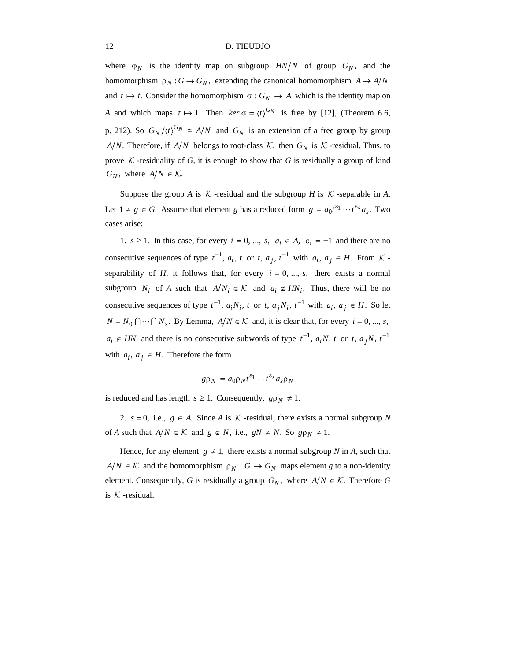where  $\varphi_N$  is the identity map on subgroup  $HN/N$  of group  $G_N$ , and the homomorphism  $\rho_N$ :  $G \to G_N$ , extending the canonical homomorphism  $A \to A/N$ and  $t \mapsto t$ . Consider the homomorphism  $\sigma : G_N \to A$  which is the identity map on *A* and which maps  $t \mapsto 1$ . Then  $\ker \sigma = \langle t \rangle^{G_N}$  is free by [12], (Theorem 6.6, p. 212). So  $G_N / \langle t \rangle^{G_N} \cong A/N$  and  $G_N$  is an extension of a free group by group *A*/*N*. Therefore, if *A*/*N* belongs to root-class  $K$ , then  $G_N$  is  $K$ -residual. Thus, to prove  $K$ -residuality of  $G$ , it is enough to show that  $G$  is residually a group of kind  $G_N$ , where  $A/N \in \mathcal{K}$ .

Suppose the group *A* is  $K$ -residual and the subgroup *H* is  $K$ -separable in *A*. Let  $1 \neq g \in G$ . Assume that element *g* has a reduced form  $g = a_0 t^{\varepsilon_1} \cdots t^{\varepsilon_s} a_s$ . Two cases arise:

1.  $s \ge 1$ . In this case, for every  $i = 0, ..., s, a_i \in A, \varepsilon_i = \pm 1$  and there are no consecutive sequences of type  $t^{-1}$ ,  $a_i$ ,  $t$  or  $t$ ,  $a_j$ ,  $t^{-1}$  with  $a_i$ ,  $a_j \in H$ . From  $K$ separability of *H*, it follows that, for every  $i = 0, ..., s$ , there exists a normal subgroup *N<sub>i</sub>* of *A* such that  $A/N_i \in \mathcal{K}$  and  $a_i \notin HN_i$ . Thus, there will be no consecutive sequences of type  $t^{-1}$ ,  $a_iN_i$ ,  $t$  or  $t$ ,  $a_jN_i$ ,  $t^{-1}$  with  $a_i$ ,  $a_j \in H$ . So let  $N = N_0 \cap \cdots \cap N_s$ . By Lemma,  $A/N \in \mathcal{K}$  and, it is clear that, for every  $i = 0, ..., s$ ,  $a_i \notin HN$  and there is no consecutive subwords of type  $t^{-1}$ ,  $a_iN$ ,  $t$  or  $t$ ,  $a_jN$ ,  $t^{-1}$ with  $a_i$ ,  $a_j \in H$ . Therefore the form

$$
g\rho_N = a_0 \rho_N t^{\varepsilon_1} \cdots t^{\varepsilon_s} a_s \rho_N
$$

is reduced and has length  $s \geq 1$ . Consequently,  $g \rho_N \neq 1$ .

2.  $s = 0$ , i.e.,  $g \in A$ . Since *A* is *K* -residual, there exists a normal subgroup *N* of *A* such that  $A/N \in \mathcal{K}$  and  $g \notin N$ , i.e.,  $gN \neq N$ . So  $g \rho_N \neq 1$ .

Hence, for any element  $g \neq 1$ , there exists a normal subgroup *N* in *A*, such that *A*/*N*  $\in$  *K* and the homomorphism  $\rho_N$  : *G*  $\rightarrow$  *G<sub>N</sub>* maps element *g* to a non-identity element. Consequently, *G* is residually a group  $G_N$ , where  $A/N \in \mathcal{K}$ . Therefore *G* is  $K$  -residual.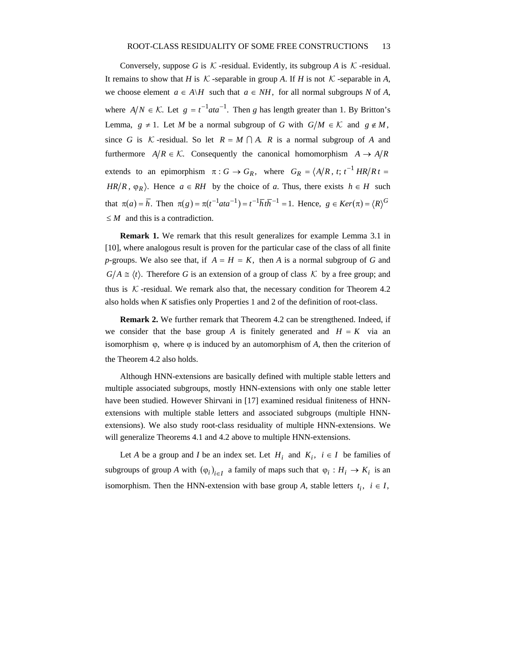Conversely, suppose *G* is  $K$ -residual. Evidently, its subgroup *A* is  $K$ -residual. It remains to show that *H* is  $K$ -separable in group *A*. If *H* is not  $K$ -separable in *A*, we choose element  $a \in A \backslash H$  such that  $a \in NH$ , for all normal subgroups N of A, where  $A/N \in \mathcal{K}$ . Let  $g = t^{-1} a t a^{-1}$ . Then *g* has length greater than 1. By Britton's Lemma,  $g \neq 1$ . Let *M* be a normal subgroup of *G* with  $G/M \in \mathcal{K}$  and  $g \notin M$ , since *G* is *K* -residual. So let  $R = M \cap A$ . *R* is a normal subgroup of *A* and furthermore  $A/R \in \mathcal{K}$ . Consequently the canonical homomorphism  $A \rightarrow A/R$ extends to an epimorphism  $\pi : G \to G_R$ , where  $G_R = \langle A/R, t; t^{-1} HR/Rt =$  $HR/R$ ,  $\varphi_R$ ). Hence  $a \in RH$  by the choice of *a*. Thus, there exists  $h \in H$  such that  $\pi(a) = \overline{h}$ . Then  $\pi(g) = \pi(t^{-1}ata^{-1}) = t^{-1}\overline{h}t\overline{h}^{-1} = 1$ . Hence,  $g \in Ker(\pi) = \langle R \rangle^G$ ≤ *M* and this is a contradiction.

**Remark 1.** We remark that this result generalizes for example Lemma 3.1 in [10], where analogous result is proven for the particular case of the class of all finite *p*-groups. We also see that, if  $A = H = K$ , then *A* is a normal subgroup of *G* and  $G/A \cong \langle t \rangle$ . Therefore *G* is an extension of a group of class *K* by a free group; and thus is  $K$ -residual. We remark also that, the necessary condition for Theorem 4.2 also holds when *K* satisfies only Properties 1 and 2 of the definition of root-class.

**Remark 2.** We further remark that Theorem 4.2 can be strengthened. Indeed, if we consider that the base group *A* is finitely generated and  $H = K$  via an isomorphism  $\varphi$ , where  $\varphi$  is induced by an automorphism of A, then the criterion of the Theorem 4.2 also holds.

Although HNN-extensions are basically defined with multiple stable letters and multiple associated subgroups, mostly HNN-extensions with only one stable letter have been studied. However Shirvani in [17] examined residual finiteness of HNNextensions with multiple stable letters and associated subgroups (multiple HNNextensions). We also study root-class residuality of multiple HNN-extensions. We will generalize Theorems 4.1 and 4.2 above to multiple HNN-extensions.

Let *A* be a group and *I* be an index set. Let  $H_i$  and  $K_i$ ,  $i \in I$  be families of subgroups of group *A* with  $(\varphi_i)_{i \in I}$  a family of maps such that  $\varphi_i : H_i \to K_i$  is an isomorphism. Then the HNN-extension with base group *A*, stable letters  $t_i$ ,  $i \in I$ ,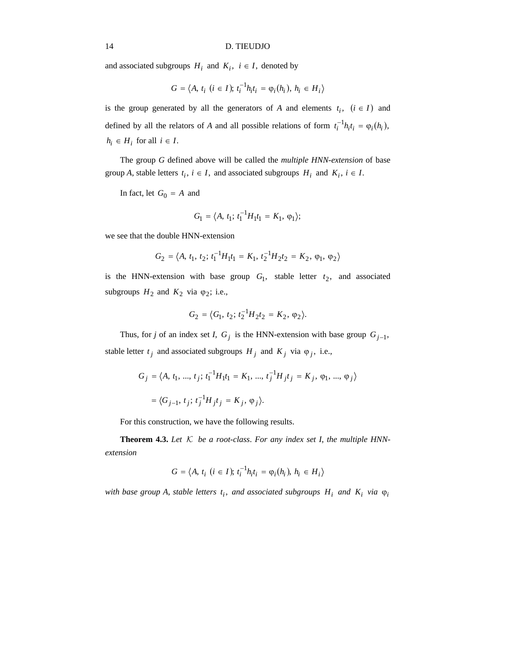and associated subgroups  $H_i$  and  $K_i$ ,  $i \in I$ , denoted by

$$
G = \langle A, t_i \ (i \in I); t_i^{-1} h_i t_i = \varphi_i(h_i), h_i \in H_i \rangle
$$

is the group generated by all the generators of *A* and elements  $t_i$ ,  $(i \in I)$  and defined by all the relators of *A* and all possible relations of form  $t_i^{-1}h_it_i = \varphi_i(h_i)$ ,  $h_i \in H_i$  for all  $i \in I$ .

The group *G* defined above will be called the *multiple HNN*-*extension* of base group *A*, stable letters  $t_i$ ,  $i \in I$ , and associated subgroups  $H_i$  and  $K_i$ ,  $i \in I$ .

In fact, let  $G_0 = A$  and

$$
G_1 = \langle A, t_1; t_1^{-1} H_1 t_1 = K_1, \varphi_1 \rangle;
$$

we see that the double HNN-extension

$$
G_2 = \langle A, t_1, t_2; t_1^{-1}H_1t_1 = K_1, t_2^{-1}H_2t_2 = K_2, \varphi_1, \varphi_2 \rangle
$$

is the HNN-extension with base group  $G_1$ , stable letter  $t_2$ , and associated subgroups  $H_2$  and  $K_2$  via  $\varphi_2$ ; i.e.,

$$
G_2 = \langle G_1, t_2; t_2^{-1} H_2 t_2 = K_2, \varphi_2 \rangle.
$$

Thus, for *j* of an index set *I*,  $G_j$  is the HNN-extension with base group  $G_{j-1}$ , stable letter  $t_j$  and associated subgroups  $H_j$  and  $K_j$  via  $\varphi_j$ , i.e.,

$$
G_j = \langle A, t_1, ..., t_j; t_1^{-1} H_1 t_1 = K_1, ..., t_j^{-1} H_j t_j = K_j, \varphi_1, ..., \varphi_j \rangle
$$
  
=  $\langle G_{j-1}, t_j; t_j^{-1} H_j t_j = K_j, \varphi_j \rangle$ .

For this construction, we have the following results.

**Theorem 4.3.** Let  $K$  be a root-class. For any index set I, the multiple HNN*extension*

$$
G = \langle A, t_i \ (i \in I); t_i^{-1} h_i t_i = \varphi_i(h_i), h_i \in H_i \rangle
$$

*with base group A, stable letters*  $t_i$ *, and associated subgroups*  $H_i$  *and*  $K_i$  *via*  $\varphi_i$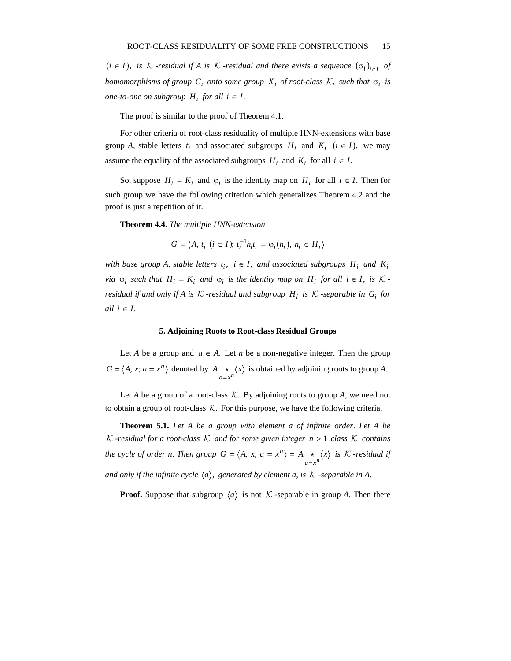$(i \in I)$ , *is* K -*residual if A is* K -*residual and there exists a sequence*  $(\sigma_i)_{i \in I}$  *of homomorphisms of group*  $G_i$  *onto some group*  $X_i$  *of root-class*  $K$ *, such that*  $\sigma_i$  *is one-to-one on subgroup*  $H_i$  *for all*  $i \in I$ .

The proof is similar to the proof of Theorem 4.1.

For other criteria of root-class residuality of multiple HNN-extensions with base group *A*, stable letters  $t_i$  and associated subgroups  $H_i$  and  $K_i$  ( $i \in I$ ), we may assume the equality of the associated subgroups  $H_i$  and  $K_i$  for all  $i \in I$ .

So, suppose  $H_i = K_i$  and  $\varphi_i$  is the identity map on  $H_i$  for all  $i \in I$ . Then for such group we have the following criterion which generalizes Theorem 4.2 and the proof is just a repetition of it.

**Theorem 4.4.** *The multiple HNN*-*extension*

$$
G = \langle A, t_i \ (i \in I); t_i^{-1} h_i t_i = \varphi_i(h_i), h_i \in H_i \rangle
$$

*with base group A, stable letters*  $t_i$ ,  $i \in I$ , and associated subgroups  $H_i$  and  $K_i$ *via*  $\varphi_i$  *such that*  $H_i = K_i$  *and*  $\varphi_i$  *is the identity map on*  $H_i$  *for all*  $i \in I$ *, is*  $K$ *residual if and only if A is*  $K$  -*residual and subgroup*  $H_i$  *is*  $K$  -*separable in*  $G_i$  *for all*  $i \in I$ .

#### **5. Adjoining Roots to Root-class Residual Groups**

Let *A* be a group and  $a \in A$ . Let *n* be a non-negative integer. Then the group  $G = \langle A, x; a = x^n \rangle$  denoted by  $A \underset{a=x^n}{\star} \langle x \rangle$  is obtained by adjoining roots to group *A*.

Let *A* be a group of a root-class  $K$ . By adjoining roots to group *A*, we need not to obtain a group of root-class  $K$ . For this purpose, we have the following criteria.

**Theorem 5.1.** *Let A be a group with element a of infinite order*. *Let A be* K -*residual for a root-class*  $K$  *and for some given integer*  $n > 1$  *class*  $K$  *contains the cycle of order n. Then group*  $G = \langle A, x; a = x^n \rangle = A \underset{a=x^n}{\star} \langle x \rangle$ =  $=\langle A, x; a = x^n \rangle = A \star \langle x \rangle$  is K-residual if *and only if the infinite cycle*  $\langle a \rangle$ *, generated by element a, is*  $K$  -*separable in A.* 

**Proof.** Suppose that subgroup  $\langle a \rangle$  is not K -separable in group A. Then there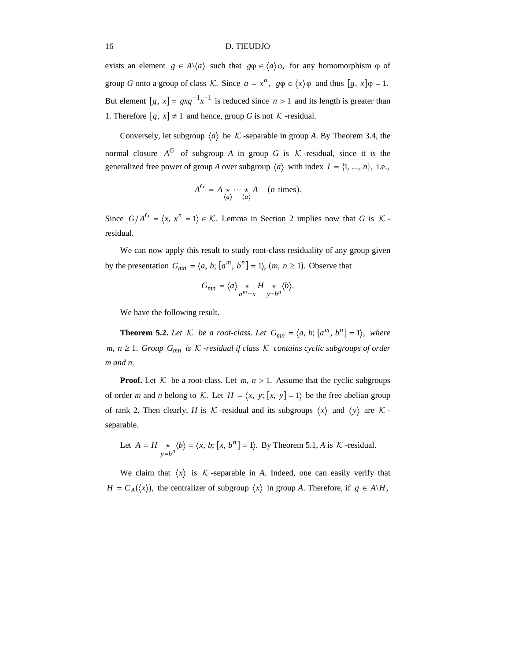exists an element  $g \in A \setminus \{a\}$  such that  $g\phi \in \langle a \rangle \phi$ , for any homomorphism  $\phi$  of group *G* onto a group of class *K*. Since  $a = x^n$ ,  $g\varphi \in \langle x \rangle \varphi$  and thus  $[g, x]\varphi = 1$ . But element  $[g, x] = g x g^{-1} x^{-1}$  is reduced since  $n > 1$  and its length is greater than 1. Therefore  $[g, x] \neq 1$  and hence, group *G* is not *K* -residual.

Conversely, let subgroup  $\langle a \rangle$  be K -separable in group A. By Theorem 3.4, the normal closure  $A^G$  of subgroup *A* in group *G* is *K* -residual, since it is the generalized free power of group *A* over subgroup  $\langle a \rangle$  with index  $I = \{1, ..., n\}$ , i.e.,

$$
A^G = A \underset{\langle a \rangle}{\star} \cdots \underset{\langle a \rangle}{\star} A \quad (n \text{ times}).
$$

Since  $G/A^G = \langle x, x^n = 1 \rangle \in \mathcal{K}$ . Lemma in Section 2 implies now that *G* is  $\mathcal{K}$ residual.

We can now apply this result to study root-class residuality of any group given by the presentation  $G_{mn} = \langle a, b; [a^m, b^n] = 1 \rangle$ ,  $(m, n \ge 1)$ . Observe that

$$
G_{mn} = \langle a \rangle \underset{a^m = x}{\star} H \underset{y = b^n}{\star} \langle b \rangle.
$$

We have the following result.

**Theorem 5.2.** Let  $K$  be a root-class. Let  $G_{mn} = \langle a, b; [a^m, b^n] = 1 \rangle$ , where *m*, *n* ≥ 1. *Group G<sub>mn</sub> is*  $K$  -*residual if class*  $K$  *contains cyclic subgroups of order m and n*.

**Proof.** Let  $K$  be a root-class. Let  $m, n > 1$ . Assume that the cyclic subgroups of order *m* and *n* belong to K. Let  $H = \langle x, y, [x, y] = 1 \rangle$  be the free abelian group of rank 2. Then clearly, *H* is  $K$ -residual and its subgroups  $\langle x \rangle$  and  $\langle y \rangle$  are  $K$ separable.

Let 
$$
A = H \underset{y=b^n}{\star} \langle b \rangle = \langle x, b; [x, b^n] = 1 \rangle
$$
. By Theorem 5.1, *A* is *K*-residual.

We claim that  $\langle x \rangle$  is K -separable in A. Indeed, one can easily verify that  $H = C_A(\langle x \rangle)$ , the centralizer of subgroup  $\langle x \rangle$  in group *A*. Therefore, if  $g \in A \backslash H$ ,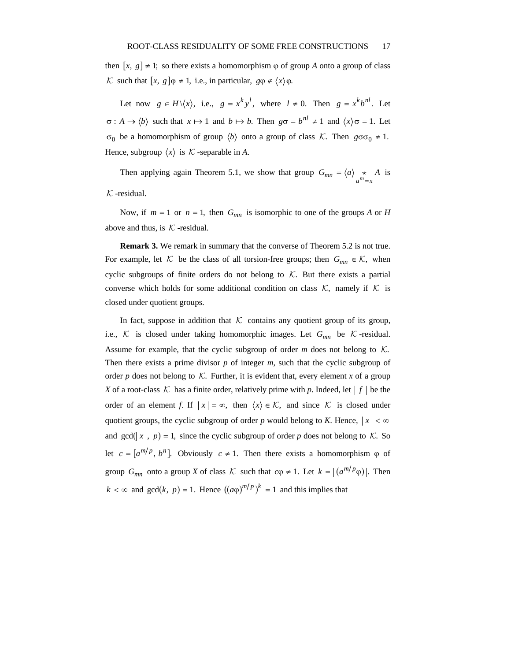then  $[x, g] \neq 1$ ; so there exists a homomorphism  $\varphi$  of group *A* onto a group of class K such that  $[x, g] \varphi \neq 1$ , i.e., in particular,  $g \varphi \notin \langle x \rangle \varphi$ .

Let now  $g \in H \setminus \langle x \rangle$ , i.e.,  $g = x^k y^l$ , where  $l \neq 0$ . Then  $g = x^k b^{nl}$ . Let  $\sigma : A \to \langle b \rangle$  such that  $x \mapsto 1$  and  $b \mapsto b$ . Then  $g\sigma = b^{nl} \neq 1$  and  $\langle x \rangle \sigma = 1$ . Let  $σ<sub>0</sub>$  be a homomorphism of group  $\langle b \rangle$  onto a group of class *K*. Then  $gσσ<sub>0</sub> ≠ 1$ . Hence, subgroup  $\langle x \rangle$  is  $\mathcal K$ -separable in A.

Then applying again Theorem 5.1, we show that group  $G_{mn} = \langle a \rangle_{\substack{x \ x^m = x}} A$  is  $K$ -residual.

Now, if  $m = 1$  or  $n = 1$ , then  $G_{mn}$  is isomorphic to one of the groups *A* or *H* above and thus, is  $K$ -residual.

**Remark 3.** We remark in summary that the converse of Theorem 5.2 is not true. For example, let  $K$  be the class of all torsion-free groups; then  $G_{mn} \in K$ , when cyclic subgroups of finite orders do not belong to  $K$ . But there exists a partial converse which holds for some additional condition on class  $K$ , namely if  $K$  is closed under quotient groups.

In fact, suppose in addition that  $K$  contains any quotient group of its group, i.e.,  $K$  is closed under taking homomorphic images. Let  $G_{mn}$  be  $K$ -residual. Assume for example, that the cyclic subgroup of order  $m$  does not belong to  $K$ . Then there exists a prime divisor *p* of integer *m*, such that the cyclic subgroup of order  $p$  does not belong to  $K$ . Further, it is evident that, every element  $x$  of a group *X* of a root-class K has a finite order, relatively prime with p. Indeed, let  $|f|$  be the order of an element *f*. If  $|x| = \infty$ , then  $\langle x \rangle \in \mathcal{K}$ , and since K is closed under quotient groups, the cyclic subgroup of order *p* would belong to *K*. Hence,  $|x| < \infty$ and gcd( $|x|$ ,  $p$ ) = 1, since the cyclic subgroup of order *p* does not belong to  $K$ . So let  $c = [a^{m/p}, b^n]$ . Obviously  $c \ne 1$ . Then there exists a homomorphism  $\varphi$  of group  $G_{mn}$  onto a group *X* of class  $K$  such that  $c\varphi \neq 1$ . Let  $k = |(a^{m/p}\varphi)|$ . Then  $k < \infty$  and gcd(*k*, *p*) = 1. Hence  $((a\varphi)^{m/p})^k = 1$  and this implies that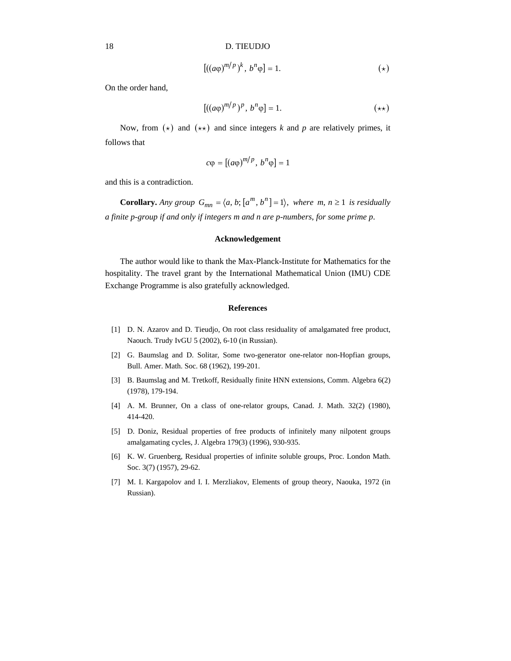$$
[((a\varphi)^{m/p})^k, b^n\varphi] = 1. \tag{(*)}
$$

On the order hand,

$$
[((a\varphi)^{m/p})^p, b^n\varphi] = 1. \tag{**}
$$

Now, from  $(\star)$  and  $(\star \star)$  and since integers *k* and *p* are relatively primes, it follows that

$$
c\varphi = [(a\varphi)^{m/p}, b^n\varphi] = 1
$$

and this is a contradiction.

**Corollary.** *Any group*  $G_{mn} = \langle a, b; [a^m, b^n] = 1 \rangle$ , *where*  $m, n \ge 1$  *is residually a finite p*-*group if and only if integers m and n are p*-*numbers*, *for some prime p*.

### **Acknowledgement**

The author would like to thank the Max-Planck-Institute for Mathematics for the hospitality. The travel grant by the International Mathematical Union (IMU) CDE Exchange Programme is also gratefully acknowledged.

## **References**

- [1] D. N. Azarov and D. Tieudjo, On root class residuality of amalgamated free product, Naouch. Trudy IvGU 5 (2002), 6-10 (in Russian).
- [2] G. Baumslag and D. Solitar, Some two-generator one-relator non-Hopfian groups, Bull. Amer. Math. Soc. 68 (1962), 199-201.
- [3] B. Baumslag and M. Tretkoff, Residually finite HNN extensions, Comm. Algebra 6(2) (1978), 179-194.
- [4] A. M. Brunner, On a class of one-relator groups, Canad. J. Math. 32(2) (1980), 414-420.
- [5] D. Doniz, Residual properties of free products of infinitely many nilpotent groups amalgamating cycles, J. Algebra 179(3) (1996), 930-935.
- [6] K. W. Gruenberg, Residual properties of infinite soluble groups, Proc. London Math. Soc. 3(7) (1957), 29-62.
- [7] M. I. Kargapolov and I. I. Merzliakov, Elements of group theory, Naouka, 1972 (in Russian).